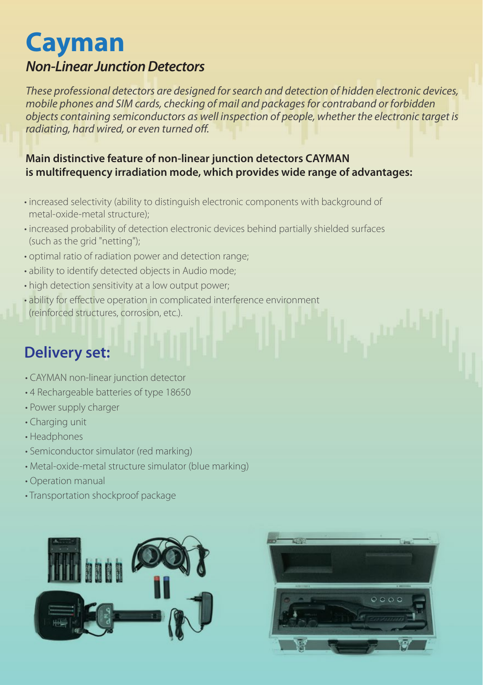# **Cayman**

#### *Non-Linear Junction Detectors*

*These professional detectors are designed for search and detection of hidden electronic devices, mobile phones and SIM cards, checking of mail and packages for contraband or forbidden objects containing semiconductors as well inspection of people, whether the electronic target is*  radiating, hard wired, or even turned off.

#### **Main distinctive feature of non-linear junction detectors CAYMAN is multifrequency irradiation mode, which provides wide range of advantages:**

- increased selectivity (ability to distinguish electronic components with background of metal-oxide-metal structure);
- increased probability of detection electronic devices behind partially shielded surfaces (such as the grid "netting");
- optimal ratio of radiation power and detection range;
- ability to identify detected objects in Audio mode;
- high detection sensitivity at a low output power;
- ability for effective operation in complicated interference environment (reinforced structures, corrosion, etc.).

### **Delivery set:**

- CAYMAN non-linear junction detector
- 4 Rechargeable batteries of type 18650
- Power supply charger
- Charging unit
- Headphones
- Semiconductor simulator (red marking)
- Metal-oxide-metal structure simulator (blue marking)
- Operation manual
- Transportation shockproof package